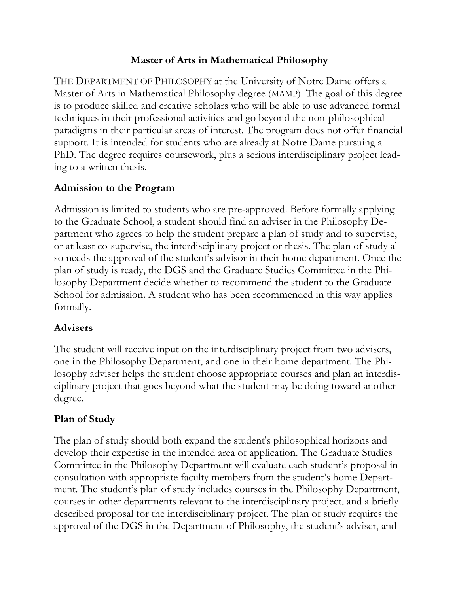### **Master of Arts in Mathematical Philosophy**

THE DEPARTMENT OF PHILOSOPHY at the University of Notre Dame offers a Master of Arts in Mathematical Philosophy degree (MAMP). The goal of this degree is to produce skilled and creative scholars who will be able to use advanced formal techniques in their professional activities and go beyond the non-philosophical paradigms in their particular areas of interest. The program does not offer financial support. It is intended for students who are already at Notre Dame pursuing a PhD. The degree requires coursework, plus a serious interdisciplinary project leading to a written thesis.

#### **Admission to the Program**

Admission is limited to students who are pre-approved. Before formally applying to the Graduate School, a student should find an adviser in the Philosophy Department who agrees to help the student prepare a plan of study and to supervise, or at least co-supervise, the interdisciplinary project or thesis. The plan of study also needs the approval of the student's advisor in their home department. Once the plan of study is ready, the DGS and the Graduate Studies Committee in the Philosophy Department decide whether to recommend the student to the Graduate School for admission. A student who has been recommended in this way applies formally.

### **Advisers**

The student will receive input on the interdisciplinary project from two advisers, one in the Philosophy Department, and one in their home department. The Philosophy adviser helps the student choose appropriate courses and plan an interdisciplinary project that goes beyond what the student may be doing toward another degree.

### **Plan of Study**

The plan of study should both expand the student's philosophical horizons and develop their expertise in the intended area of application. The Graduate Studies Committee in the Philosophy Department will evaluate each student's proposal in consultation with appropriate faculty members from the student's home Department. The student's plan of study includes courses in the Philosophy Department, courses in other departments relevant to the interdisciplinary project, and a briefly described proposal for the interdisciplinary project. The plan of study requires the approval of the DGS in the Department of Philosophy, the student's adviser, and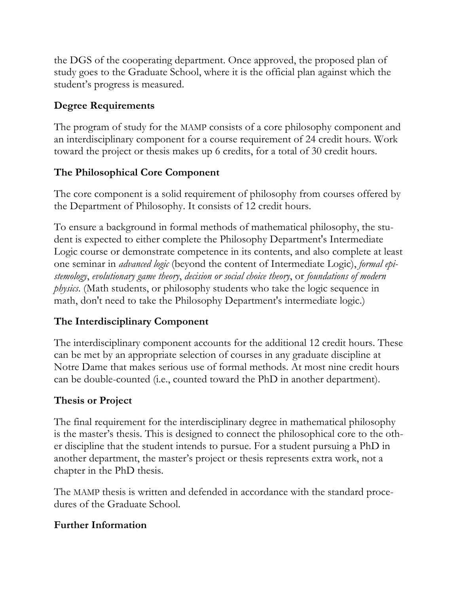the DGS of the cooperating department. Once approved, the proposed plan of study goes to the Graduate School, where it is the official plan against which the student's progress is measured.

## **Degree Requirements**

The program of study for the MAMP consists of a core philosophy component and an interdisciplinary component for a course requirement of 24 credit hours. Work toward the project or thesis makes up 6 credits, for a total of 30 credit hours.

# **The Philosophical Core Component**

The core component is a solid requirement of philosophy from courses offered by the Department of Philosophy. It consists of 12 credit hours.

To ensure a background in formal methods of mathematical philosophy, the student is expected to either complete the Philosophy Department's Intermediate Logic course or demonstrate competence in its contents, and also complete at least one seminar in *advanced logic* (beyond the content of Intermediate Logic), *formal epistemology*, *evolutionary game theory*, *decision or social choice theory*, or *foundations of modern physics*. (Math students, or philosophy students who take the logic sequence in math, don't need to take the Philosophy Department's intermediate logic.)

# **The Interdisciplinary Component**

The interdisciplinary component accounts for the additional 12 credit hours. These can be met by an appropriate selection of courses in any graduate discipline at Notre Dame that makes serious use of formal methods. At most nine credit hours can be double-counted (i.e., counted toward the PhD in another department).

## **Thesis or Project**

The final requirement for the interdisciplinary degree in mathematical philosophy is the master's thesis. This is designed to connect the philosophical core to the other discipline that the student intends to pursue. For a student pursuing a PhD in another department, the master's project or thesis represents extra work, not a chapter in the PhD thesis.

The MAMP thesis is written and defended in accordance with the standard procedures of the Graduate School.

## **Further Information**